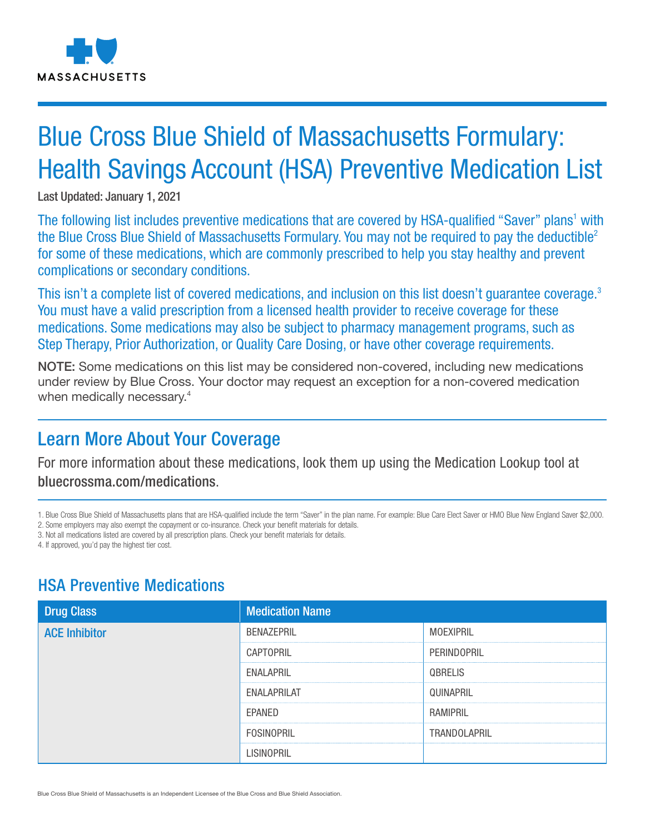

# Blue Cross Blue Shield of Massachusetts Formulary: Health Savings Account (HSA) Preventive Medication List

Last Updated: January 1, 2021

The following list includes preventive medications that are covered by HSA-qualified "Saver" plans<sup>1</sup> with the Blue Cross Blue Shield of Massachusetts Formulary. You may not be required to pay the deductible<sup>2</sup> for some of these medications, which are commonly prescribed to help you stay healthy and prevent complications or secondary conditions.

This isn't a complete list of covered medications, and inclusion on this list doesn't quarantee coverage.<sup>3</sup> You must have a valid prescription from a licensed health provider to receive coverage for these medications. Some medications may also be subject to pharmacy management programs, such as Step Therapy, Prior Authorization, or Quality Care Dosing, or have other coverage requirements.

NOTE: Some medications on this list may be considered non-covered, including new medications under review by Blue Cross. Your doctor may request an exception for a non-covered medication when medically necessary.<sup>4</sup>

## Learn More About Your Coverage

For more information about these medications, look them up using the Medication Lookup tool at bluecrossma.com/medications.

1. Blue Cross Blue Shield of Massachusetts plans that are HSA-qualified include the term "Saver" in the plan name. For example: Blue Care Elect Saver or HMO Blue New England Saver \$2,000. 2. Some employers may also exempt the copayment or co-insurance. Check your benefit materials for details.

3. Not all medications listed are covered by all prescription plans. Check your benefit materials for details.

4. If approved, you'd pay the highest tier cost.

## HSA Preventive Medications

| <b>Drug Class</b>    | <b>Medication Name</b> |                |
|----------------------|------------------------|----------------|
| <b>ACE Inhibitor</b> | BENAZEPRIL             | MOEXIPRIL      |
|                      | CAPTOPRIL              | PERINDOPRIL    |
|                      | ENALAPRIL              | <b>QBRELIS</b> |
|                      | <b>ENALAPRILAT</b>     | QUINAPRIL      |
|                      | EPANED                 | RAMIPRIL       |
|                      | <b>FOSINOPRIL</b>      | TRANDOLAPRIL   |
|                      | LISINOPRIL             |                |

Blue Cross Blue Shield of Massachusetts is an Independent Licensee of the Blue Cross and Blue Shield Association.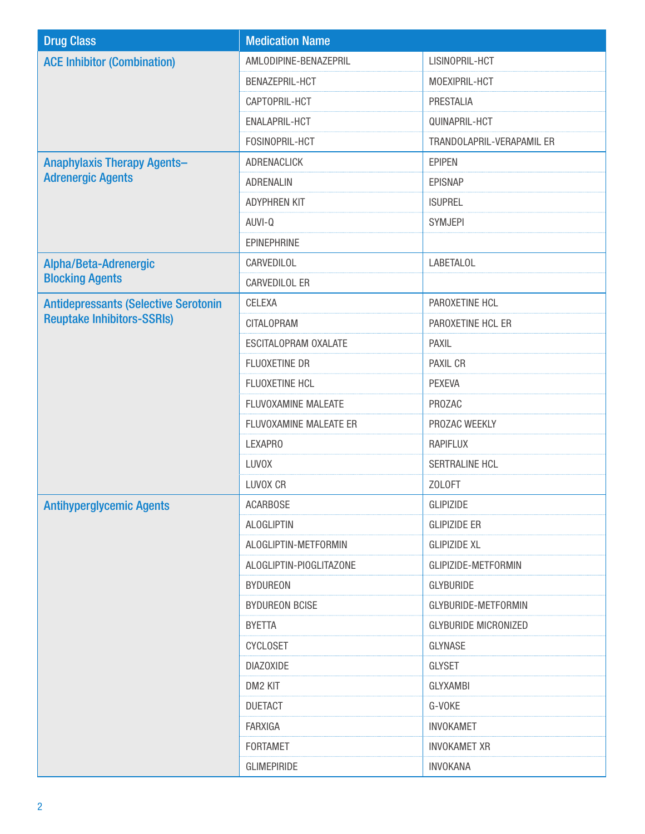| <b>Drug Class</b>                           | <b>Medication Name</b>  |                             |
|---------------------------------------------|-------------------------|-----------------------------|
| <b>ACE Inhibitor (Combination)</b>          | AMLODIPINE-BENAZEPRIL   | LISINOPRIL-HCT              |
|                                             | BENAZEPRIL-HCT          | MOEXIPRIL-HCT               |
|                                             | CAPTOPRIL-HCT           | PRESTALIA                   |
|                                             | ENALAPRIL-HCT           | QUINAPRIL-HCT               |
|                                             | FOSINOPRIL-HCT          | TRANDOLAPRIL-VERAPAMIL ER   |
| <b>Anaphylaxis Therapy Agents-</b>          | ADRENACLICK             | <b>EPIPEN</b>               |
| <b>Adrenergic Agents</b>                    | ADRENALIN               | <b>EPISNAP</b>              |
|                                             | <b>ADYPHREN KIT</b>     | <b>ISUPREL</b>              |
|                                             | AUVI-Q                  | SYMJEPI                     |
|                                             | EPINEPHRINE             |                             |
| Alpha/Beta-Adrenergic                       | CARVEDILOL              | <b>LABETALOL</b>            |
| <b>Blocking Agents</b>                      | CARVEDILOL ER           |                             |
| <b>Antidepressants (Selective Serotonin</b> | CELEXA                  | PAROXETINE HCL              |
| <b>Reuptake Inhibitors-SSRIs)</b>           | <b>CITALOPRAM</b>       | PAROXETINE HCL ER           |
|                                             | ESCITALOPRAM OXALATE    | <b>PAXIL</b>                |
|                                             | FLUOXETINE DR           | PAXIL CR                    |
|                                             | FLUOXETINE HCL          | <b>PEXEVA</b>               |
|                                             | FLUVOXAMINE MALEATE     | PROZAC                      |
|                                             | FLUVOXAMINE MALEATE ER  | PROZAC WEEKLY               |
|                                             | <b>LEXAPRO</b>          | <b>RAPIFLUX</b>             |
|                                             | <b>LUVOX</b>            | SERTRALINE HCL              |
|                                             | LUVOX CR                | ZOLOFT                      |
| <b>Antihyperglycemic Agents</b>             | <b>ACARBOSE</b>         | <b>GLIPIZIDE</b>            |
|                                             | <b>ALOGLIPTIN</b>       | <b>GLIPIZIDE ER</b>         |
|                                             | ALOGLIPTIN-METFORMIN    | <b>GLIPIZIDE XL</b>         |
|                                             | ALOGLIPTIN-PIOGLITAZONE | GLIPIZIDE-METFORMIN         |
|                                             | <b>BYDUREON</b>         | <b>GLYBURIDE</b>            |
|                                             | <b>BYDUREON BCISE</b>   | GLYBURIDE-METFORMIN         |
|                                             | <b>BYETTA</b>           | <b>GLYBURIDE MICRONIZED</b> |
|                                             | <b>CYCLOSET</b>         | GLYNASE                     |
|                                             | <b>DIAZOXIDE</b>        | <b>GLYSET</b>               |
|                                             | DM2 KIT                 | <b>GLYXAMBI</b>             |
|                                             | <b>DUETACT</b>          | G-VOKE                      |
|                                             | FARXIGA                 | <b>INVOKAMET</b>            |
|                                             | <b>FORTAMET</b>         | <b>INVOKAMET XR</b>         |
|                                             | <b>GLIMEPIRIDE</b>      | <b>INVOKANA</b>             |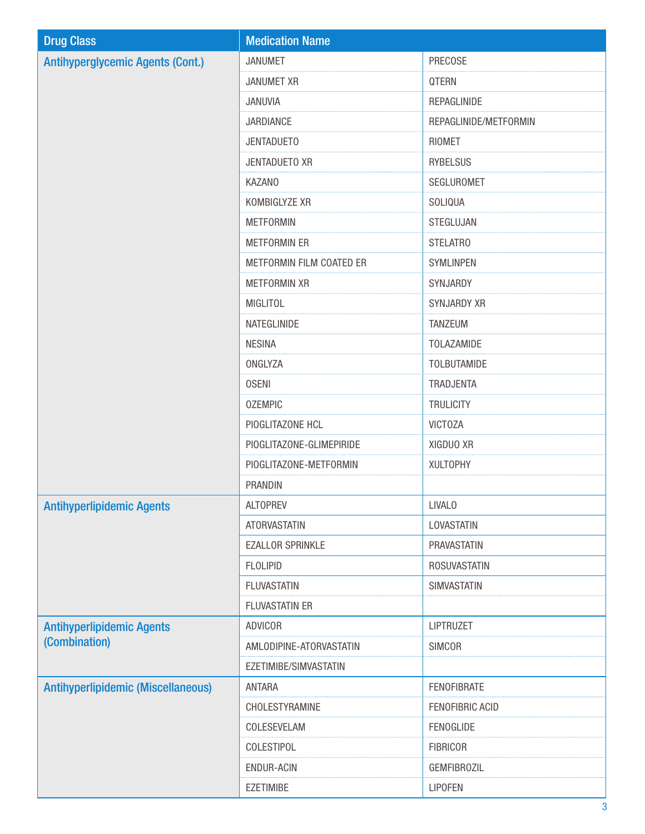| <b>Drug Class</b>                         | <b>Medication Name</b>   |                        |
|-------------------------------------------|--------------------------|------------------------|
| <b>Antihyperglycemic Agents (Cont.)</b>   | <b>JANUMET</b>           | PRECOSE                |
|                                           | <b>JANUMET XR</b>        | QTERN                  |
|                                           | JANUVIA                  | REPAGLINIDE            |
|                                           | JARDIANCE                | REPAGLINIDE/METFORMIN  |
|                                           | <b>JENTADUETO</b>        | <b>RIOMET</b>          |
|                                           | JENTADUETO XR            | <b>RYBELSUS</b>        |
|                                           | <b>KAZANO</b>            | SEGLUROMET             |
|                                           | KOMBIGLYZE XR            | SOLIQUA                |
|                                           | <b>METFORMIN</b>         | STEGLUJAN              |
|                                           | <b>METFORMIN ER</b>      | STELATRO               |
|                                           | METFORMIN FILM COATED ER | SYMLINPEN              |
|                                           | <b>METFORMIN XR</b>      | SYNJARDY               |
|                                           | <b>MIGLITOL</b>          | <b>SYNJARDY XR</b>     |
|                                           | NATEGLINIDE              | <b>TANZEUM</b>         |
|                                           | <b>NESINA</b>            | TOLAZAMIDE             |
|                                           | ONGLYZA                  | <b>TOLBUTAMIDE</b>     |
|                                           | <b>OSENI</b>             | TRADJENTA              |
|                                           | <b>OZEMPIC</b>           | <b>TRULICITY</b>       |
|                                           | PIOGLITAZONE HCL         | <b>VICTOZA</b>         |
|                                           | PIOGLITAZONE-GLIMEPIRIDE | XIGDUO XR              |
|                                           | PIOGLITAZONE-METFORMIN   | <b>XULTOPHY</b>        |
|                                           | PRANDIN                  |                        |
| <b>Antihyperlipidemic Agents</b>          | <b>ALTOPREV</b>          | <b>LIVALO</b>          |
|                                           | <b>ATORVASTATIN</b>      | LOVASTATIN             |
|                                           | <b>EZALLOR SPRINKLE</b>  | PRAVASTATIN            |
|                                           | <b>FLOLIPID</b>          | <b>ROSUVASTATIN</b>    |
|                                           | <b>FLUVASTATIN</b>       | SIMVASTATIN            |
|                                           | <b>FLUVASTATIN ER</b>    |                        |
| <b>Antihyperlipidemic Agents</b>          | <b>ADVICOR</b>           | LIPTRUZET              |
| (Combination)                             | AMLODIPINE-ATORVASTATIN  | <b>SIMCOR</b>          |
|                                           | EZETIMIBE/SIMVASTATIN    |                        |
| <b>Antihyperlipidemic (Miscellaneous)</b> | <b>ANTARA</b>            | <b>FENOFIBRATE</b>     |
|                                           | CHOLESTYRAMINE           | <b>FENOFIBRIC ACID</b> |
|                                           | COLESEVELAM              | FENOGLIDE              |
|                                           | COLESTIPOL               | <b>FIBRICOR</b>        |
|                                           | <b>ENDUR-ACIN</b>        | <b>GEMFIBROZIL</b>     |
|                                           | <b>EZETIMIBE</b>         | <b>LIPOFEN</b>         |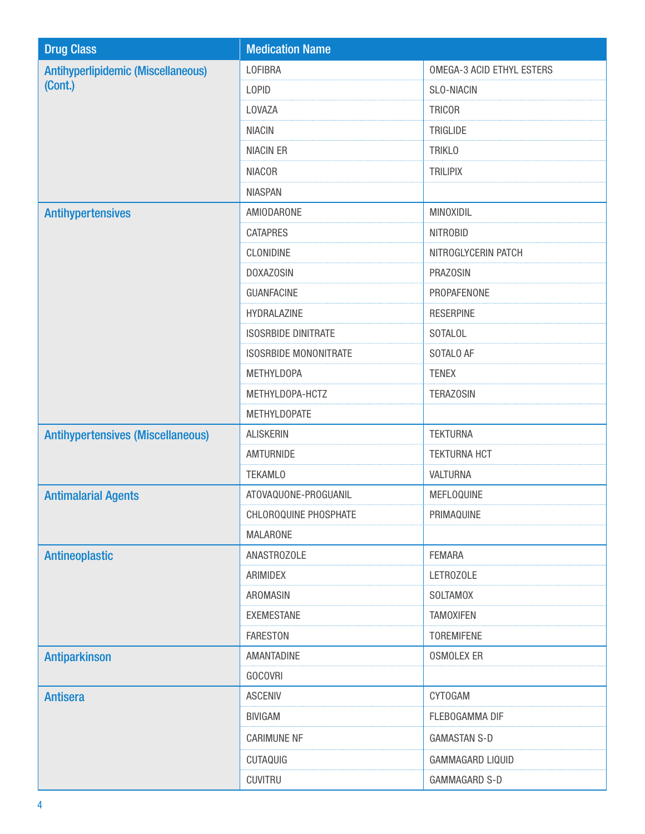| <b>Drug Class</b>                                    | <b>Medication Name</b>       |                                  |
|------------------------------------------------------|------------------------------|----------------------------------|
| <b>Antihyperlipidemic (Miscellaneous)</b><br>(Cont.) | <b>LOFIBRA</b>               | <b>OMEGA-3 ACID ETHYL ESTERS</b> |
|                                                      | <b>LOPID</b>                 | <b>SLO-NIACIN</b>                |
|                                                      | LOVAZA                       | <b>TRICOR</b>                    |
|                                                      | <b>NIACIN</b>                | TRIGLIDE                         |
|                                                      | <b>NIACIN ER</b>             | <b>TRIKLO</b>                    |
|                                                      | <b>NIACOR</b>                | <b>TRILIPIX</b>                  |
|                                                      | <b>NIASPAN</b>               |                                  |
| <b>Antihypertensives</b>                             | AMIODARONE                   | MINOXIDIL                        |
|                                                      | <b>CATAPRES</b>              | <b>NITROBID</b>                  |
|                                                      | CLONIDINE                    | NITROGLYCERIN PATCH              |
|                                                      | <b>DOXAZOSIN</b>             | <b>PRAZOSIN</b>                  |
|                                                      | <b>GUANFACINE</b>            | PROPAFENONE                      |
|                                                      | HYDRALAZINE                  | <b>RESERPINE</b>                 |
|                                                      | <b>ISOSRBIDE DINITRATE</b>   | <b>SOTALOL</b>                   |
|                                                      | <b>ISOSRBIDE MONONITRATE</b> | SOTALO AF                        |
|                                                      | <b>METHYLDOPA</b>            | <b>TENEX</b>                     |
|                                                      | METHYLDOPA-HCTZ              | <b>TERAZOSIN</b>                 |
|                                                      | <b>METHYLDOPATE</b>          |                                  |
| <b>Antihypertensives (Miscellaneous)</b>             | <b>ALISKERIN</b>             | <b>TEKTURNA</b>                  |
|                                                      | AMTURNIDE                    | <b>TEKTURNA HCT</b>              |
|                                                      | <b>TEKAMLO</b>               | VALTURNA                         |
| <b>Antimalarial Agents</b>                           | ATOVAQUONE-PROGUANIL         | MEFLOQUINE                       |
|                                                      | CHLOROQUINE PHOSPHATE        | PRIMAQUINE                       |
|                                                      | <b>MALARONE</b>              |                                  |
| <b>Antineoplastic</b>                                | ANASTROZOLE                  | <b>FEMARA</b>                    |
|                                                      | ARIMIDEX                     | LETROZOLE                        |
|                                                      | AROMASIN                     | <b>SOLTAMOX</b>                  |
|                                                      | <b>EXEMESTANE</b>            | <b>TAMOXIFEN</b>                 |
|                                                      | <b>FARESTON</b>              | <b>TOREMIFENE</b>                |
| <b>Antiparkinson</b>                                 | AMANTADINE                   | <b>OSMOLEX ER</b>                |
|                                                      | <b>GOCOVRI</b>               |                                  |
| <b>Antisera</b>                                      | <b>ASCENIV</b>               | <b>CYTOGAM</b>                   |
|                                                      | <b>BIVIGAM</b>               | FLEBOGAMMA DIF                   |
|                                                      | <b>CARIMUNE NF</b>           | <b>GAMASTAN S-D</b>              |
|                                                      | CUTAQUIG                     | GAMMAGARD LIQUID                 |
|                                                      | <b>CUVITRU</b>               | GAMMAGARD S-D                    |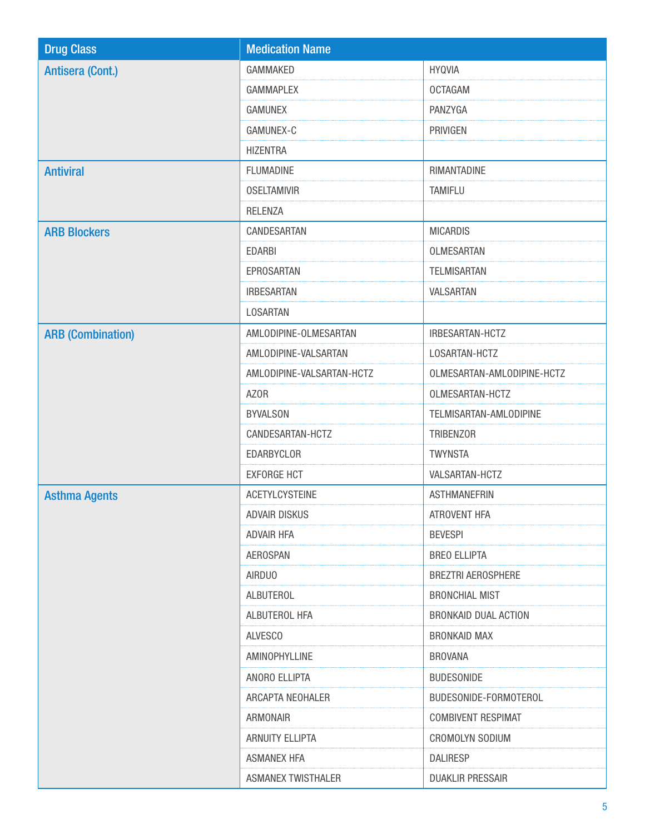| <b>Drug Class</b>        | <b>Medication Name</b>    |                            |
|--------------------------|---------------------------|----------------------------|
| <b>Antisera (Cont.)</b>  | GAMMAKED                  | <b>HYQVIA</b>              |
|                          | <b>GAMMAPLEX</b>          | <b>OCTAGAM</b>             |
|                          | <b>GAMUNEX</b>            | PANZYGA                    |
|                          | GAMUNEX-C                 | PRIVIGEN                   |
|                          | <b>HIZENTRA</b>           |                            |
| <b>Antiviral</b>         | <b>FLUMADINE</b>          | RIMANTADINE                |
|                          | <b>OSELTAMIVIR</b>        | TAMIFLU                    |
|                          | <b>RELENZA</b>            |                            |
| <b>ARB Blockers</b>      | CANDESARTAN               | <b>MICARDIS</b>            |
|                          | <b>EDARBI</b>             | OLMESARTAN                 |
|                          | EPROSARTAN                | <b>TELMISARTAN</b>         |
|                          | <b>IRBESARTAN</b>         | VALSARTAN                  |
|                          | <b>LOSARTAN</b>           |                            |
| <b>ARB (Combination)</b> | AMLODIPINE-OLMESARTAN     | IRBESARTAN-HCTZ            |
|                          | AMLODIPINE-VALSARTAN      | LOSARTAN-HCTZ              |
|                          | AMLODIPINE-VALSARTAN-HCTZ | OLMESARTAN-AMLODIPINE-HCTZ |
|                          | <b>AZOR</b>               | OLMESARTAN-HCTZ            |
|                          | <b>BYVALSON</b>           | TELMISARTAN-AMLODIPINE     |
|                          | CANDESARTAN-HCTZ          | TRIBENZOR                  |
|                          | EDARBYCLOR                | <b>TWYNSTA</b>             |
|                          | <b>EXFORGE HCT</b>        | VALSARTAN-HCTZ             |
| <b>Asthma Agents</b>     | <b>ACETYLCYSTEINE</b>     | <b>ASTHMANEFRIN</b>        |
|                          | ADVAIR DISKUS             | ATROVENT HFA               |
|                          | <b>ADVAIR HFA</b>         | <b>BEVESPI</b>             |
|                          | <b>AEROSPAN</b>           | <b>BREO ELLIPTA</b>        |
|                          | <b>AIRDUO</b>             | <b>BREZTRI AEROSPHERE</b>  |
|                          | ALBUTEROL                 | <b>BRONCHIAL MIST</b>      |
|                          | ALBUTEROL HFA             | BRONKAID DUAL ACTION       |
|                          | <b>ALVESCO</b>            | <b>BRONKAID MAX</b>        |
|                          | AMINOPHYLLINE             | <b>BROVANA</b>             |
|                          | ANORO ELLIPTA             | <b>BUDESONIDE</b>          |
|                          | ARCAPTA NEOHALER          | BUDESONIDE-FORMOTEROL      |
|                          | ARMONAIR                  | <b>COMBIVENT RESPIMAT</b>  |
|                          | ARNUITY ELLIPTA           | CROMOLYN SODIUM            |
|                          | <b>ASMANEX HFA</b>        | <b>DALIRESP</b>            |
|                          | <b>ASMANEX TWISTHALER</b> | DUAKLIR PRESSAIR           |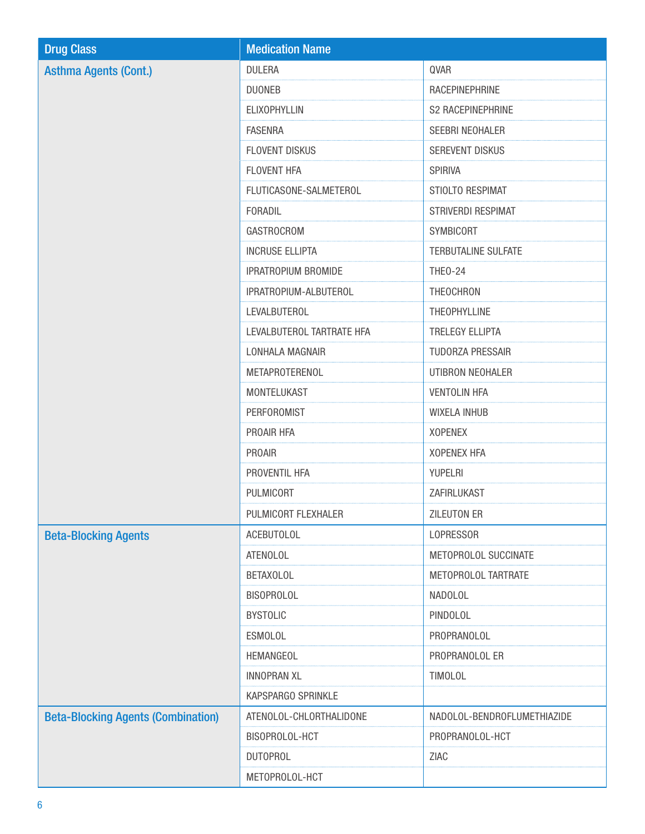| <b>Drug Class</b>                         | <b>Medication Name</b>     |                             |
|-------------------------------------------|----------------------------|-----------------------------|
| <b>Asthma Agents (Cont.)</b>              | <b>DULERA</b>              | QVAR                        |
|                                           | <b>DUONEB</b>              | RACEPINEPHRINE              |
|                                           | <b>ELIXOPHYLLIN</b>        | <b>S2 RACEPINEPHRINE</b>    |
|                                           | <b>FASENRA</b>             | SEEBRI NEOHALER             |
|                                           | <b>FLOVENT DISKUS</b>      | SEREVENT DISKUS             |
|                                           | FLOVENT HFA                | <b>SPIRIVA</b>              |
|                                           | FLUTICASONE-SALMETEROL     | STIOLTO RESPIMAT            |
|                                           | FORADIL                    | STRIVERDI RESPIMAT          |
|                                           | <b>GASTROCROM</b>          | SYMBICORT                   |
|                                           | <b>INCRUSE ELLIPTA</b>     | <b>TERBUTALINE SULFATE</b>  |
|                                           | <b>IPRATROPIUM BROMIDE</b> | <b>THEO-24</b>              |
|                                           | IPRATROPIUM-ALBUTEROL      | THEOCHRON                   |
|                                           | LEVALBUTEROL               | THEOPHYLLINE                |
|                                           | LEVALBUTEROL TARTRATE HFA  | <b>TRELEGY ELLIPTA</b>      |
|                                           | LONHALA MAGNAIR            | <b>TUDORZA PRESSAIR</b>     |
|                                           | METAPROTERENOL             | UTIBRON NEOHALER            |
|                                           | MONTELUKAST                | <b>VENTOLIN HFA</b>         |
|                                           | <b>PERFOROMIST</b>         | <b>WIXELA INHUB</b>         |
|                                           | PROAIR HFA                 | <b>XOPENEX</b>              |
|                                           | PROAIR                     | <b>XOPENEX HFA</b>          |
|                                           | PROVENTIL HFA              | YUPELRI                     |
|                                           | PULMICORT                  | ZAFIRLUKAST                 |
|                                           | PULMICORT FLEXHALER        | <b>ZILEUTON ER</b>          |
| <b>Beta-Blocking Agents</b>               | <b>ACEBUTOLOL</b>          | LOPRESSOR                   |
|                                           | <b>ATENOLOL</b>            | METOPROLOL SUCCINATE        |
|                                           | <b>BETAXOLOL</b>           | METOPROLOL TARTRATE         |
|                                           | <b>BISOPROLOL</b>          | NADOLOL                     |
|                                           | <b>BYSTOLIC</b>            | PINDOLOL                    |
|                                           | <b>ESMOLOL</b>             | PROPRANOLOL                 |
|                                           | HEMANGEOL                  | PROPRANOLOL ER              |
|                                           | <b>INNOPRAN XL</b>         | <b>TIMOLOL</b>              |
|                                           | KAPSPARGO SPRINKLE         |                             |
| <b>Beta-Blocking Agents (Combination)</b> | ATENOLOL-CHLORTHALIDONE    | NADOLOL-BENDROFLUMETHIAZIDE |
|                                           | BISOPROLOL-HCT             | PROPRANOLOL-HCT             |
|                                           | <b>DUTOPROL</b>            | ZIAC                        |
|                                           | METOPROLOL-HCT             |                             |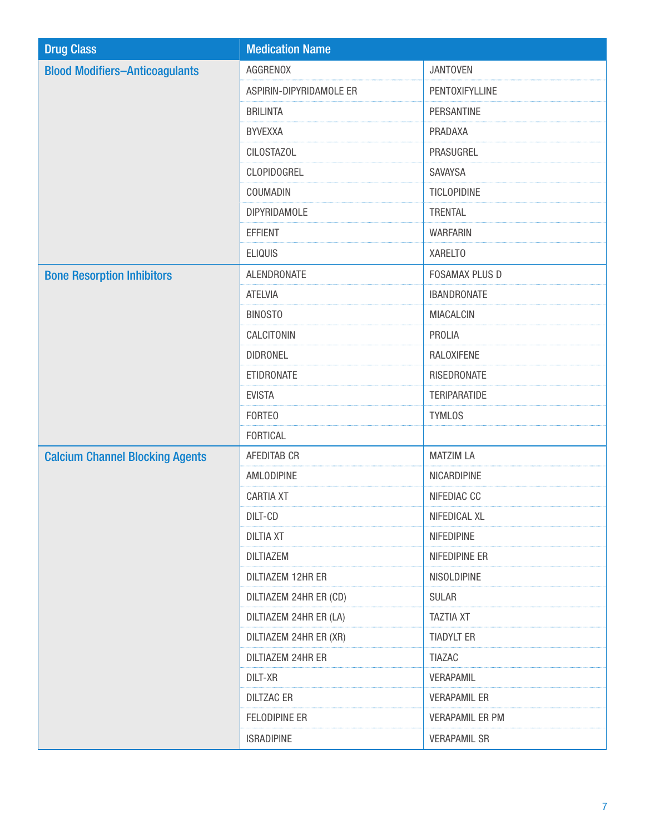| <b>Drug Class</b>                      | <b>Medication Name</b>  |                        |
|----------------------------------------|-------------------------|------------------------|
| <b>Blood Modifiers-Anticoagulants</b>  | AGGRENOX                | <b>JANTOVEN</b>        |
|                                        | ASPIRIN-DIPYRIDAMOLE ER | PENTOXIFYLLINE         |
|                                        | <b>BRILINTA</b>         | PERSANTINE             |
|                                        | <b>BYVEXXA</b>          | PRADAXA                |
|                                        | <b>CILOSTAZOL</b>       | PRASUGREL              |
|                                        | CLOPIDOGREL             | <b>SAVAYSA</b>         |
|                                        | COUMADIN                | TICLOPIDINE            |
|                                        | <b>DIPYRIDAMOLE</b>     | <b>TRENTAL</b>         |
|                                        | <b>EFFIENT</b>          | <b>WARFARIN</b>        |
|                                        | <b>ELIQUIS</b>          | XARELTO                |
| <b>Bone Resorption Inhibitors</b>      | ALENDRONATE             | <b>FOSAMAX PLUS D</b>  |
|                                        | <b>ATELVIA</b>          | <b>IBANDRONATE</b>     |
|                                        | <b>BINOSTO</b>          | <b>MIACALCIN</b>       |
|                                        | CALCITONIN              | PROLIA                 |
|                                        | <b>DIDRONEL</b>         | RALOXIFENE             |
|                                        | ETIDRONATE              | RISEDRONATE            |
|                                        | <b>EVISTA</b>           | <b>TERIPARATIDE</b>    |
|                                        | <b>FORTEO</b>           | <b>TYMLOS</b>          |
|                                        | FORTICAL                |                        |
| <b>Calcium Channel Blocking Agents</b> | AFEDITAB CR             | <b>MATZIM LA</b>       |
|                                        | AMLODIPINE              | NICARDIPINE            |
|                                        | <b>CARTIA XT</b>        | NIFEDIAC CC            |
|                                        | DILT-CD                 | NIFEDICAL XL           |
|                                        | <b>DILTIA XT</b>        | NIFEDIPINE             |
|                                        | <b>DILTIAZEM</b>        | NIFEDIPINE ER          |
|                                        | DILTIAZEM 12HR ER       | NISOLDIPINE            |
|                                        | DILTIAZEM 24HR ER (CD)  | <b>SULAR</b>           |
|                                        | DILTIAZEM 24HR ER (LA)  | <b>TAZTIA XT</b>       |
|                                        | DILTIAZEM 24HR ER (XR)  | <b>TIADYLT ER</b>      |
|                                        | DILTIAZEM 24HR ER       | <b>TIAZAC</b>          |
|                                        | DILT-XR                 | VERAPAMIL              |
|                                        | <b>DILTZAC ER</b>       | <b>VERAPAMIL ER</b>    |
|                                        | FELODIPINE ER           | <b>VERAPAMIL ER PM</b> |
|                                        | <b>ISRADIPINE</b>       | <b>VERAPAMIL SR</b>    |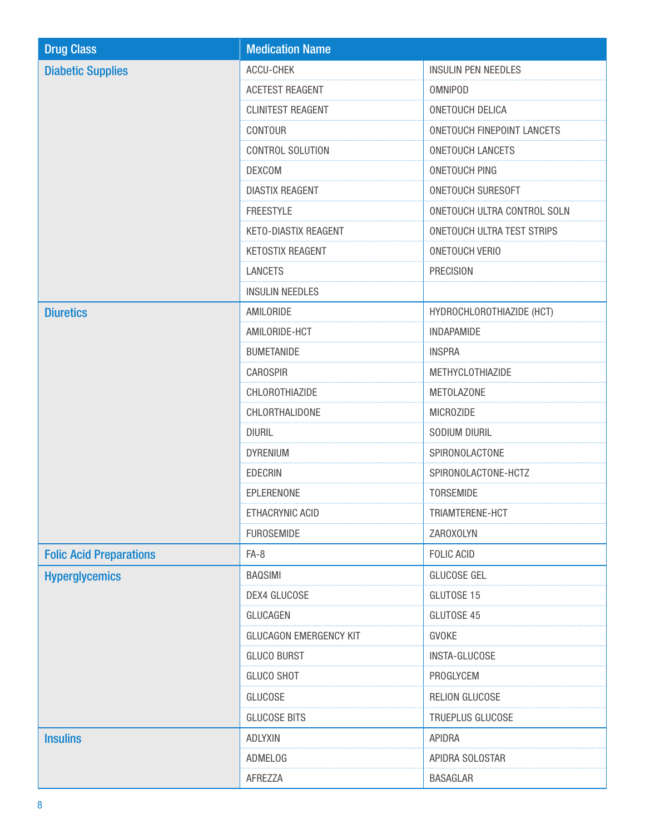| <b>Drug Class</b>              | <b>Medication Name</b>        |                                   |
|--------------------------------|-------------------------------|-----------------------------------|
| <b>Diabetic Supplies</b>       | ACCU-CHEK                     | <b>INSULIN PEN NEEDLES</b>        |
|                                | <b>ACETEST REAGENT</b>        | <b>OMNIPOD</b>                    |
|                                | <b>CLINITEST REAGENT</b>      | <b>ONETOUCH DELICA</b>            |
|                                | CONTOUR                       | <b>ONETOUCH FINEPOINT LANCETS</b> |
|                                | CONTROL SOLUTION              | <b>ONETOUCH LANCETS</b>           |
|                                | <b>DEXCOM</b>                 | <b>ONETOUCH PING</b>              |
|                                | <b>DIASTIX REAGENT</b>        | ONETOUCH SURESOFT                 |
|                                | <b>FREESTYLE</b>              | ONETOUCH ULTRA CONTROL SOLN       |
|                                | KETO-DIASTIX REAGENT          | ONETOUCH ULTRA TEST STRIPS        |
|                                | KETOSTIX REAGENT              | <b>ONETOUCH VERIO</b>             |
|                                | <b>LANCETS</b>                | <b>PRECISION</b>                  |
|                                | <b>INSULIN NEEDLES</b>        |                                   |
| <b>Diuretics</b>               | AMILORIDE                     | HYDROCHLOROTHIAZIDE (HCT)         |
|                                | AMILORIDE-HCT                 | <b>INDAPAMIDE</b>                 |
|                                | <b>BUMETANIDE</b>             | <b>INSPRA</b>                     |
|                                | <b>CAROSPIR</b>               | METHYCLOTHIAZIDE                  |
|                                | CHLOROTHIAZIDE                | <b>METOLAZONE</b>                 |
|                                | CHLORTHALIDONE                | <b>MICROZIDE</b>                  |
|                                | <b>DIURIL</b>                 | SODIUM DIURIL                     |
|                                | <b>DYRENIUM</b>               | SPIRONOLACTONE                    |
|                                | <b>EDECRIN</b>                | SPIRONOLACTONE-HCTZ               |
|                                | EPLERENONE                    | TORSEMIDE                         |
|                                | ETHACRYNIC ACID               | TRIAMTERENE-HCT                   |
|                                | <b>FUROSEMIDE</b>             | ZAROXOLYN                         |
| <b>Folic Acid Preparations</b> | $FA-8$                        | <b>FOLIC ACID</b>                 |
| <b>Hyperglycemics</b>          | <b>BAQSIMI</b>                | <b>GLUCOSE GEL</b>                |
|                                | DEX4 GLUCOSE                  | GLUTOSE 15                        |
|                                | GLUCAGEN                      | GLUTOSE 45                        |
|                                | <b>GLUCAGON EMERGENCY KIT</b> | <b>GVOKE</b>                      |
|                                | <b>GLUCO BURST</b>            | <b>INSTA-GLUCOSE</b>              |
|                                | <b>GLUCO SHOT</b>             | PROGLYCEM                         |
|                                | <b>GLUCOSE</b>                | RELION GLUCOSE                    |
|                                | <b>GLUCOSE BITS</b>           | TRUEPLUS GLUCOSE                  |
| <b>Insulins</b>                | <b>ADLYXIN</b>                | <b>APIDRA</b>                     |
|                                | ADMELOG                       | APIDRA SOLOSTAR                   |
|                                | AFREZZA                       | <b>BASAGLAR</b>                   |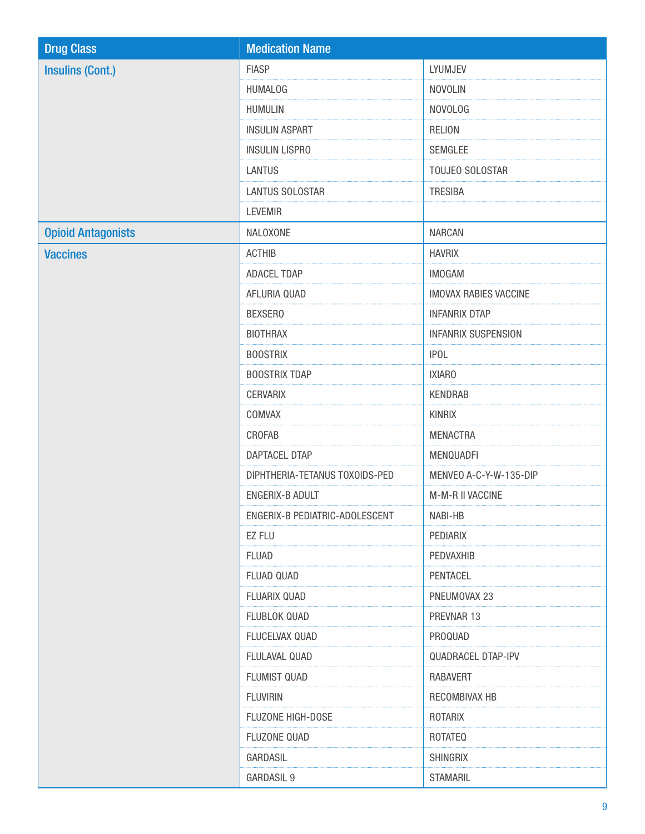| <b>Drug Class</b>         | <b>Medication Name</b>         |                              |
|---------------------------|--------------------------------|------------------------------|
| <b>Insulins (Cont.)</b>   | <b>FIASP</b>                   | LYUMJEV                      |
|                           | <b>HUMALOG</b>                 | <b>NOVOLIN</b>               |
|                           | <b>HUMULIN</b>                 | <b>NOVOLOG</b>               |
|                           | <b>INSULIN ASPART</b>          | <b>RELION</b>                |
|                           | <b>INSULIN LISPRO</b>          | <b>SEMGLEE</b>               |
|                           | <b>LANTUS</b>                  | TOUJEO SOLOSTAR              |
|                           | <b>LANTUS SOLOSTAR</b>         | <b>TRESIBA</b>               |
|                           | <b>LEVEMIR</b>                 |                              |
| <b>Opioid Antagonists</b> | NALOXONE                       | <b>NARCAN</b>                |
| <b>Vaccines</b>           | <b>ACTHIB</b>                  | <b>HAVRIX</b>                |
|                           | ADACEL TDAP                    | <b>IMOGAM</b>                |
|                           | AFLURIA QUAD                   | <b>IMOVAX RABIES VACCINE</b> |
|                           | <b>BEXSERO</b>                 | <b>INFANRIX DTAP</b>         |
|                           | <b>BIOTHRAX</b>                | <b>INFANRIX SUSPENSION</b>   |
|                           | <b>BOOSTRIX</b>                | <b>IPOL</b>                  |
|                           | <b>BOOSTRIX TDAP</b>           | <b>IXIARO</b>                |
|                           | <b>CERVARIX</b>                | <b>KENDRAB</b>               |
|                           | COMVAX                         | <b>KINRIX</b>                |
|                           | CROFAB                         | <b>MENACTRA</b>              |
|                           | DAPTACEL DTAP                  | MENQUADFI                    |
|                           | DIPHTHERIA-TETANUS TOXOIDS-PED | MENVEO A-C-Y-W-135-DIP       |
|                           | <b>ENGERIX-B ADULT</b>         | M-M-R II VACCINE             |
|                           | ENGERIX-B PEDIATRIC-ADOLESCENT | NABI-HB                      |
|                           | EZ FLU                         | PEDIARIX                     |
|                           | <b>FLUAD</b>                   | PEDVAXHIB                    |
|                           | FLUAD QUAD                     | PENTACEL                     |
|                           | FLUARIX QUAD                   | PNEUMOVAX 23                 |
|                           | FLUBLOK QUAD                   | PREVNAR 13                   |
|                           | FLUCELVAX QUAD                 | PROQUAD                      |
|                           | FLULAVAL QUAD                  | <b>QUADRACEL DTAP-IPV</b>    |
|                           | FLUMIST QUAD                   | <b>RABAVERT</b>              |
|                           | <b>FLUVIRIN</b>                | RECOMBIVAX HB                |
|                           | FLUZONE HIGH-DOSE              | ROTARIX                      |
|                           | <b>FLUZONE QUAD</b>            | <b>ROTATEQ</b>               |
|                           | GARDASIL                       | <b>SHINGRIX</b>              |
|                           | GARDASIL 9                     | <b>STAMARIL</b>              |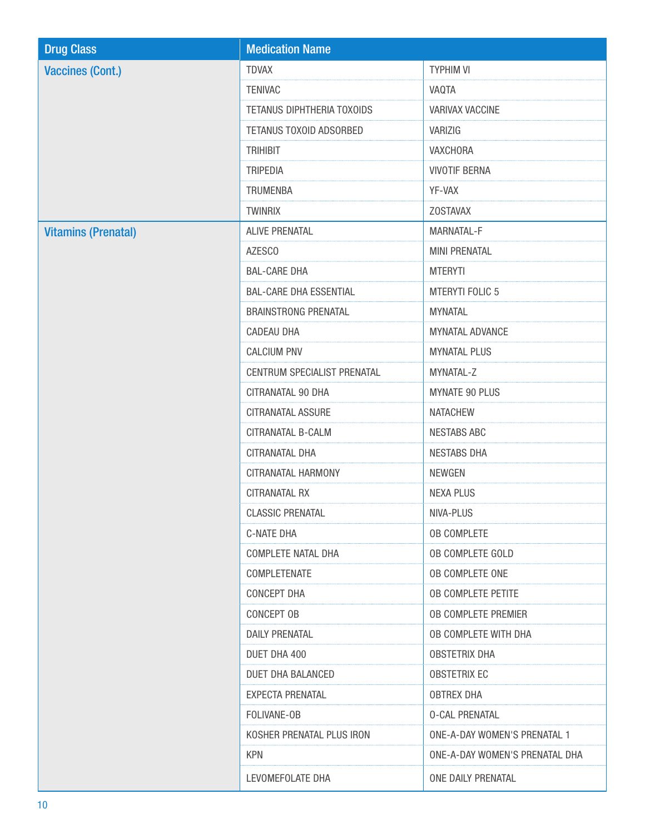| <b>Drug Class</b>          | <b>Medication Name</b>        |                                     |
|----------------------------|-------------------------------|-------------------------------------|
| <b>Vaccines (Cont.)</b>    | <b>TDVAX</b>                  | <b>TYPHIM VI</b>                    |
|                            | <b>TENIVAC</b>                | VAQTA                               |
|                            | TETANUS DIPHTHERIA TOXOIDS    | VARIVAX VACCINE                     |
|                            | TETANUS TOXOID ADSORBED       | VARIZIG                             |
|                            | <b>TRIHIBIT</b>               | <b>VAXCHORA</b>                     |
|                            | <b>TRIPEDIA</b>               | <b>VIVOTIF BERNA</b>                |
|                            | <b>TRUMENBA</b>               | YF-VAX                              |
|                            | <b>TWINRIX</b>                | <b>ZOSTAVAX</b>                     |
| <b>Vitamins (Prenatal)</b> | <b>ALIVE PRENATAL</b>         | MARNATAL-F                          |
|                            | AZESCO                        | <b>MINI PRENATAL</b>                |
|                            | <b>BAL-CARE DHA</b>           | <b>MTERYTI</b>                      |
|                            | <b>BAL-CARE DHA ESSENTIAL</b> | <b>MTERYTI FOLIC 5</b>              |
|                            | <b>BRAINSTRONG PRENATAL</b>   | <b>MYNATAL</b>                      |
|                            | CADEAU DHA                    | <b>MYNATAL ADVANCE</b>              |
|                            | <b>CALCIUM PNV</b>            | <b>MYNATAL PLUS</b>                 |
|                            | CENTRUM SPECIALIST PRENATAL   | MYNATAL-Z                           |
|                            | CITRANATAL 90 DHA             | <b>MYNATE 90 PLUS</b>               |
|                            | CITRANATAL ASSURE             | <b>NATACHEW</b>                     |
|                            | CITRANATAL B-CALM             | <b>NESTABS ABC</b>                  |
|                            | CITRANATAL DHA                | <b>NESTABS DHA</b>                  |
|                            | CITRANATAL HARMONY            | <b>NEWGEN</b>                       |
|                            | <b>CITRANATAL RX</b>          | <b>NEXA PLUS</b>                    |
|                            | <b>CLASSIC PRENATAL</b>       | NIVA-PLUS                           |
|                            | C-NATE DHA                    | <b>OB COMPLETE</b>                  |
|                            | COMPLETE NATAL DHA            | OB COMPLETE GOLD                    |
|                            | COMPLETENATE                  | OB COMPLETE ONE                     |
|                            | CONCEPT DHA                   | <b>OB COMPLETE PETITE</b>           |
|                            | CONCEPT OB                    | OB COMPLETE PREMIER                 |
|                            | <b>DAILY PRENATAL</b>         | OB COMPLETE WITH DHA                |
|                            | DUET DHA 400                  | <b>OBSTETRIX DHA</b>                |
|                            | DUET DHA BALANCED             | <b>OBSTETRIX EC</b>                 |
|                            | EXPECTA PRENATAL              | <b>OBTREX DHA</b>                   |
|                            | FOLIVANE-OB                   | <b>0-CAL PRENATAL</b>               |
|                            | KOSHER PRENATAL PLUS IRON     | <b>ONE-A-DAY WOMEN'S PRENATAL 1</b> |
|                            | <b>KPN</b>                    | ONE-A-DAY WOMEN'S PRENATAL DHA      |
|                            | LEVOMEFOLATE DHA              | ONE DAILY PRENATAL                  |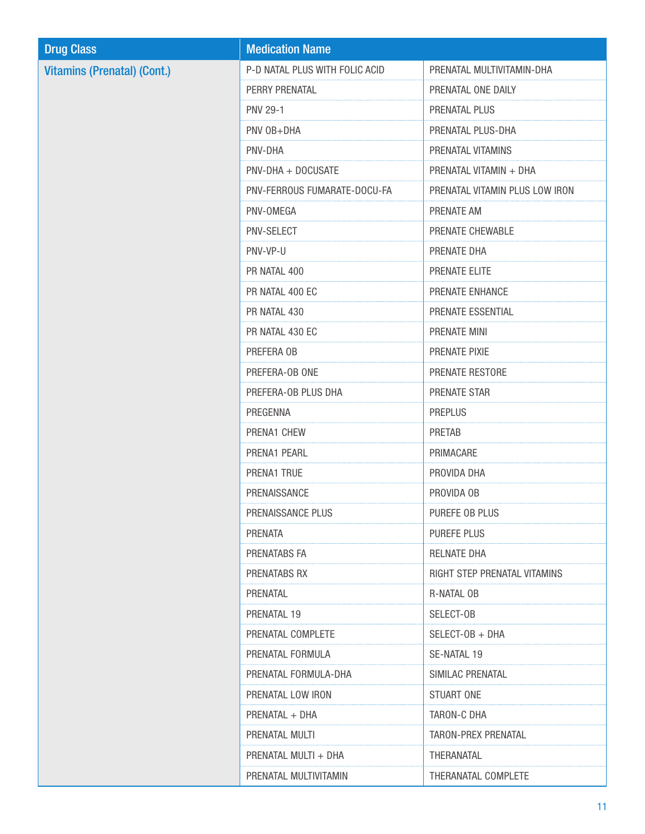| <b>Drug Class</b>                  | <b>Medication Name</b>         |                                |
|------------------------------------|--------------------------------|--------------------------------|
| <b>Vitamins (Prenatal) (Cont.)</b> | P-D NATAL PLUS WITH FOLIC ACID | PRENATAL MULTIVITAMIN-DHA      |
|                                    | PERRY PRENATAL                 | PRENATAL ONE DAILY             |
|                                    | <b>PNV 29-1</b>                | PRENATAL PLUS                  |
|                                    | PNV OB+DHA                     | PRENATAL PLUS-DHA              |
|                                    | PNV-DHA                        | PRENATAL VITAMINS              |
|                                    | PNV-DHA + DOCUSATE             | PRENATAL VITAMIN + DHA         |
|                                    | PNV-FERROUS FUMARATE-DOCU-FA   | PRENATAL VITAMIN PLUS LOW IRON |
|                                    | PNV-OMEGA                      | PRENATE AM                     |
|                                    | PNV-SELECT                     | PRENATE CHEWABLE               |
|                                    | PNV-VP-U                       | PRENATE DHA                    |
|                                    | PR NATAL 400                   | PRENATE ELITE                  |
|                                    | PR NATAL 400 EC                | PRENATE ENHANCE                |
|                                    | PR NATAL 430                   | PRENATE ESSENTIAL              |
|                                    | PR NATAL 430 EC                | PRENATE MINI                   |
|                                    | PREFERA OB                     | PRENATE PIXIE                  |
|                                    | PREFERA-OB ONE                 | PRENATE RESTORE                |
|                                    | PREFERA-OB PLUS DHA            | PRENATE STAR                   |
|                                    | PREGENNA                       | <b>PREPLUS</b>                 |
|                                    | PRENA1 CHEW                    | <b>PRETAB</b>                  |
|                                    | PRENA1 PEARL                   | PRIMACARE                      |
|                                    | PRENA1 TRUE                    | PROVIDA DHA                    |
|                                    | PRENAISSANCE                   | PROVIDA OB                     |
|                                    | PRENAISSANCE PLUS              | PUREFE OB PLUS                 |
|                                    | PRENATA                        | PUREFE PLUS                    |
|                                    | PRENATABS FA                   | RELNATE DHA                    |
|                                    | PRENATABS RX                   | RIGHT STEP PRENATAL VITAMINS   |
|                                    | PRENATAL                       | R-NATAL OB                     |
|                                    | PRENATAL 19                    | SELECT-OB                      |
|                                    | PRENATAL COMPLETE              | SELECT-OB + DHA                |
|                                    | PRENATAL FORMULA               | SE-NATAL 19                    |
|                                    | PRENATAL FORMULA-DHA           | SIMILAC PRENATAL               |
|                                    | PRENATAL LOW IRON              | STUART ONE                     |
|                                    | PRENATAL + DHA                 | TARON-C DHA                    |
|                                    | PRENATAL MULTI                 | <b>TARON-PREX PRENATAL</b>     |
|                                    | PRENATAL MULTI + DHA           | THERANATAL                     |
|                                    | PRENATAL MULTIVITAMIN          | THERANATAL COMPLETE            |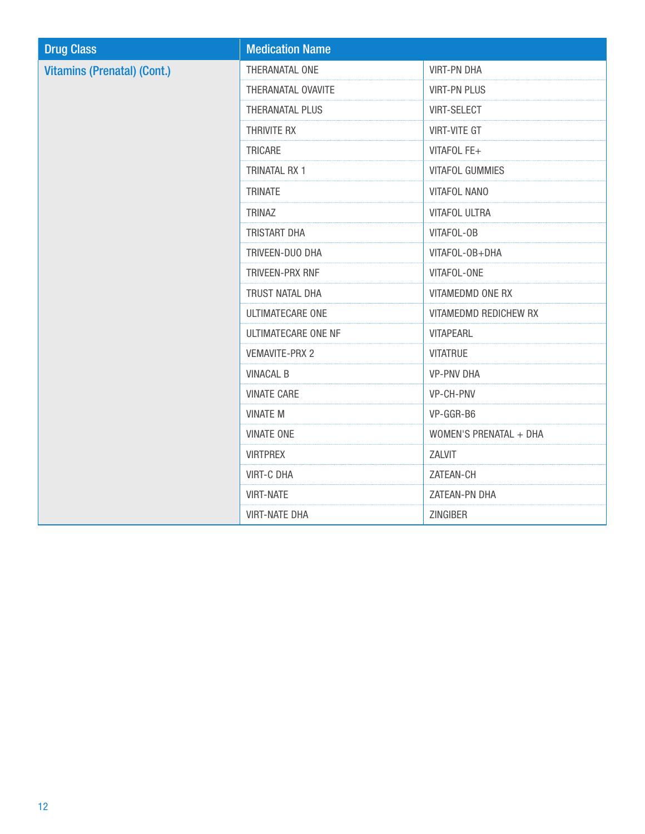| <b>Drug Class</b>                  | <b>Medication Name</b>     |                        |
|------------------------------------|----------------------------|------------------------|
| <b>Vitamins (Prenatal) (Cont.)</b> | THERANATAL ONE             | <b>VIRT-PN DHA</b>     |
|                                    | THERANATAL OVAVITE         | <b>VIRT-PN PLUS</b>    |
|                                    | THERANATAL PLUS            | <b>VIRT-SELECT</b>     |
|                                    | THRIVITE RX                | <b>VIRT-VITE GT</b>    |
|                                    | TRICARE                    | VITAFOL FE+            |
|                                    | <b>TRINATAL RX 1</b>       | <b>VITAFOL GUMMIES</b> |
|                                    | <b>TRINATE</b>             | <b>VITAFOL NANO</b>    |
|                                    | <b>TRINAZ</b>              | <b>VITAFOL ULTRA</b>   |
|                                    | TRISTART DHA               | VITAFOL-OB             |
|                                    | TRIVEEN-DUO DHA            | VITAFOL-OB+DHA         |
|                                    | TRIVEEN-PRX RNF            | VITAFOL-ONE            |
|                                    | TRUST NATAL DHA            | VITAMEDMD ONE RX       |
|                                    | ULTIMATECARE ONE           | VITAMEDMD REDICHEW RX  |
|                                    | <b>ULTIMATECARE ONE NF</b> | <b>VITAPEARL</b>       |
|                                    | <b>VEMAVITE-PRX 2</b>      | <b>VITATRUE</b>        |
|                                    | <b>VINACAL B</b>           | <b>VP-PNV DHA</b>      |
|                                    | <b>VINATE CARE</b>         | VP-CH-PNV              |
|                                    | <b>VINATE M</b>            | VP-GGR-B6              |
|                                    | <b>VINATE ONE</b>          | WOMEN'S PRENATAL + DHA |
|                                    | <b>VIRTPREX</b>            | ZALVIT                 |
|                                    | <b>VIRT-C DHA</b>          | ZATEAN-CH              |
|                                    | <b>VIRT-NATE</b>           | ZATEAN-PN DHA          |
|                                    | <b>VIRT-NATE DHA</b>       | ZINGIBER               |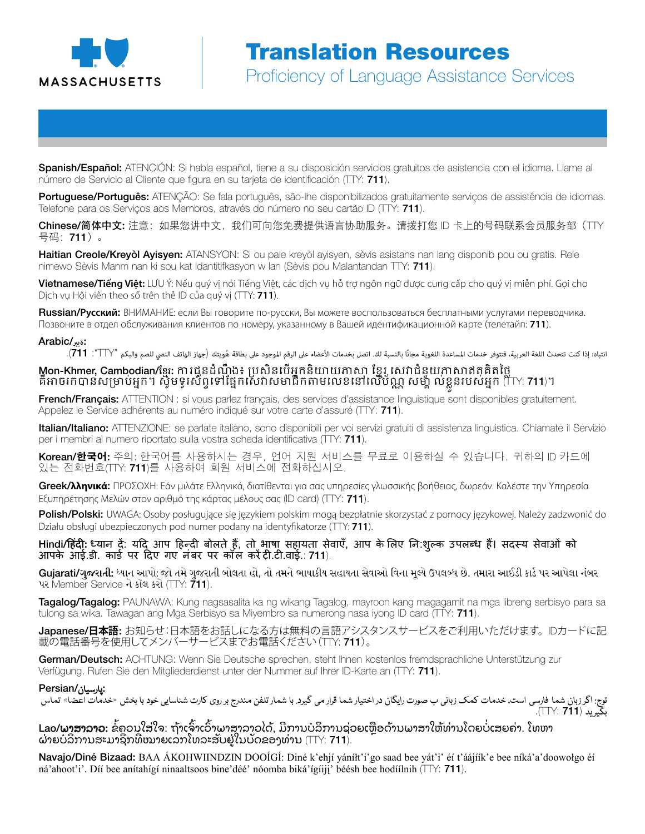

Spanish/Español: ATENCIÓN: Si habla español, tiene a su disposición servicios gratuitos de asistencia con el idioma. Llame al número de Servicio al Cliente que figura en su tarjeta de identificación (TTY: 711).

Portuguese/Português: ATENÇÃO: Se fala português, são-lhe disponibilizados gratuitamente serviços de assistência de idiomas. Telefone para os Serviços aos Membros, através do número no seu cartão ID (TTY: 711).

Chinese/简体中文: 注意:如果您讲中文,我们可向您免费提供语言协助服务。请拨打您 ID 卡上的号码联系会员服务部(TTY 号码:711)。

Haitian Creole/Kreyòl Ayisyen: ATANSYON: Si ou pale kreyòl ayisyen, sèvis asistans nan lang disponib pou ou gratis. Rele nimewo Sèvis Manm nan ki sou kat Idantitifkasyon w lan (Sèvis pou Malantandan TTY: 711).

Vietnamese/**Tiếng Việt:** LƯU Ý: Nếu quý vị nói Tiếng Việt, các dịch vụ hỗ trợ ngôn ngữ được cung cấp cho quý vị miễn phí. Gọi cho Dịch vụ Hội viên theo số trên thẻ ID của quý vị (TTY: **711**).

Russian/**Русский**: ВНИМАНИЕ: если Вы говорите по-русски, Вы можете воспользоваться бесплатными услугами переводчика. Позвоните в отдел обслуживания клиентов по номеру, указанному в Вашей идентификационной карте (телетайп: **711**).

#### :**ةيرب**/Arabic

انتباه: إذا كنت تتحدث اللغة العربية، فتتوفر خدمات المساعدة اللغوية مجانًا بالنسبة لك. اتصل بخدمات الأعضاء على الهوجود على بطاقة هُويتك (جهاز الهاتف النصي للصم والبكم "TTY": **111)**.

### Mon-Khmer, Cambodian/ខ្មែរ: ការជូនដំណឹង៖ ប្រសិនបើអ្នកនិយាយភាសា ខ្មែរ សេវាជំនួយភាសាឥតគិតថ្លៃ គឺអាចរកបានសម្រាប់អ្នក។ ស្វិមទូរស័ព្ទទៅផ្នែកសេវាសមាជិកតាមលេខនៅលើប័ណ្ណ សម្ព័ ល់ខ្លូនរបស់អ្នក (TTY: **711**)។

French/Français: ATTENTION : si vous parlez français, des services d'assistance linguistique sont disponibles gratuitement. Appelez le Service adhérents au numéro indiqué sur votre carte d'assuré (TTY: 711).

Italian/Italiano: ATTENZIONE: se parlate italiano, sono disponibili per voi servizi gratuiti di assistenza linguistica. Chiamate il Servizio per i membri al numero riportato sulla vostra scheda identificativa (TTY: 711).

Korean/**한국어**: 주의: 한국어를 사용하시는 경우, 언어 지원 서비스를 무료로 이용하실 수 있습니다. 귀하의 ID 카드에 있는 전화번호(TTY: 711)를 사용하여 회원 서비스에 전화하십시오.

Greek/**λληνικά**: ΠΡΟΣΟΧΗ: Εάν μιλάτε Ελληνικά, διατίθενται για σας υπηρεσίες γλωσσικής βοήθειας, δωρεάν. Καλέστε την Υπηρεσία Εξυπηρέτησης Μελών στον αριθμό της κάρτας μέλους σας (ID card) (TTY: 711).

Polish/Polski: UWAGA: Osoby posługujące się językiem polskim mogą bezpłatnie skorzystać z pomocy językowej. Należy zadzwonić do Działu obsługi ubezpieczonych pod numer podany na identyfikatorze (TTY: **711**).

Hindi/हिंदी: ध्यान दें: यदि आप हिन्दी बोलते हैं, तो भाषा सहायता सेवाएँ, आप के लिए नि:शुल्क उपलब्ध हैं। सदस्य सेवाओं को आपके आई.डी. कार्ड पर दिए गए नंबर पर कॉल करें टी.टी.वाई.: 711).

**Gujarati/ગુજરાતી:** ધ્યાન આપો: જો તમે ગુજરાતી બોલતા હો, તો તમને ભાષાકીય સહાયતા સેવાઓ વિના મલ્યે ઉપલબ્ધ છે. તમારા આઈડી કાર્ડ પર આપેલા નંબર પર Member Service ને કૉલ કરો (TTY: 711).

Tagalog/Tagalog: PAUNAWA: Kung nagsasalita ka ng wikang Tagalog, mayroon kang magagamit na mga libreng serbisyo para sa tulong sa wika. Tawagan ang Mga Serbisyo sa Miyembro sa numerong nasa iyong ID card (TTY: 711).

Japanese/**日本語**: お知らせ:日本語をお話しになる方は無料の言語アシスタンスサービスをご利用いただけます。IDカードに記 載の電話番号を使用してメンバーサービスまでお電話ください(TTY: 711)。

German/Deutsch: ACHTUNG: Wenn Sie Deutsche sprechen, steht Ihnen kostenlos fremdsprachliche Unterstützung zur Verfügung. Rufen Sie den Mitgliederdienst unter der Nummer auf Ihrer ID-Karte an (TTY: 711).

#### :پارسیان/Persian

توج: اگر زبان شما فارسی است، خدمات کمک زبانی ب صورت رایگان در اختیار شما قرار می گیرد. با شمار تلفن مندرج بر روی کارت شناسایی خود با بخش «خدمات اعضا» تماس ب ید (7**11** :TTY:)..

**Lao/ພາສາລາວ:** ຂໍ້ຄວນໃສ່ໃຈ: ຖ້າເຈົາເວົາພາສາລາວໄດ້, ມີການບໍລິການຊ່ວຍເຫຼືອດ້ານພາສາໃຫ້ທ່ານໂດຍບໍ່ເສຍຄ່າ. ໂທຫາ ຝ່າຍບໍລິການສະມາຊິກທີ່ໝາຍເລກໂທລະສັບຢູ່ໃນບັດຂອງທ່ານ (TTY: **711**).

Navajo/Diné Bizaad: BAA ÁKOHWIINDZIN DOOÍGÍ: Diné k'ehjí yánílt'i'go saad bee yát'i' éí t'áájíík'e bee níká'a'doowołgo éí ná'ahoot'i'. Díí bee anítahígí ninaaltsoos bine'déé' nóomba biká' gíiji' béésh bee hodíilnih ( $\Box$ Y: **711**).